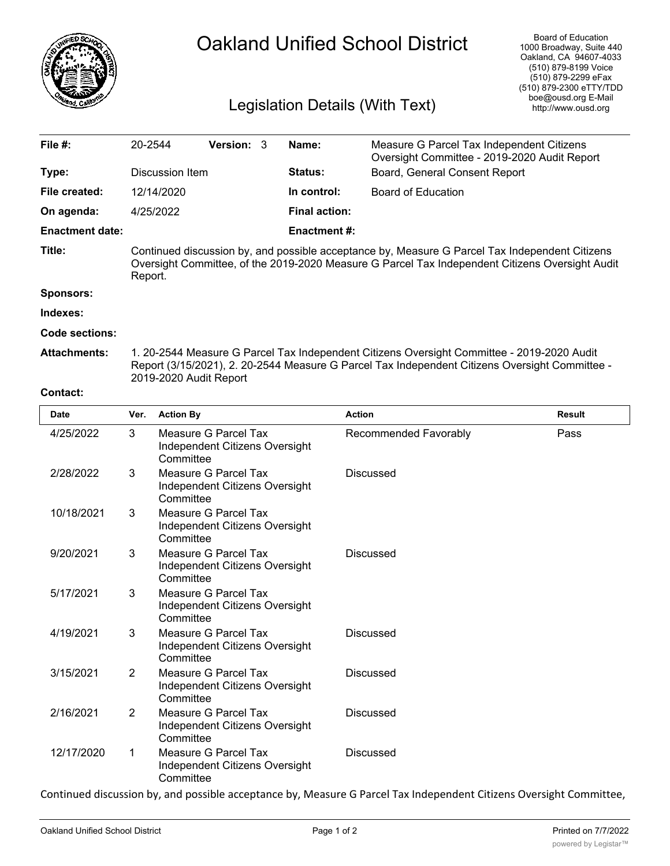

## Oakland Unified School District

## Legislation Details (With Text)

| File #:                | 20-2544                                                                                                                                                                                                                |                                                                            | Version: 3                                             |  | Name:                | Measure G Parcel Tax Independent Citizens<br>Oversight Committee - 2019-2020 Audit Report |                               |  |
|------------------------|------------------------------------------------------------------------------------------------------------------------------------------------------------------------------------------------------------------------|----------------------------------------------------------------------------|--------------------------------------------------------|--|----------------------|-------------------------------------------------------------------------------------------|-------------------------------|--|
| Type:                  | Discussion Item                                                                                                                                                                                                        |                                                                            |                                                        |  | Status:              |                                                                                           | Board, General Consent Report |  |
| File created:          |                                                                                                                                                                                                                        | 12/14/2020                                                                 |                                                        |  | In control:          | <b>Board of Education</b>                                                                 |                               |  |
| On agenda:             |                                                                                                                                                                                                                        | 4/25/2022                                                                  |                                                        |  | <b>Final action:</b> |                                                                                           |                               |  |
| <b>Enactment date:</b> |                                                                                                                                                                                                                        |                                                                            |                                                        |  | <b>Enactment#:</b>   |                                                                                           |                               |  |
| Title:                 | Continued discussion by, and possible acceptance by, Measure G Parcel Tax Independent Citizens<br>Oversight Committee, of the 2019-2020 Measure G Parcel Tax Independent Citizens Oversight Audit<br>Report.           |                                                                            |                                                        |  |                      |                                                                                           |                               |  |
| <b>Sponsors:</b>       |                                                                                                                                                                                                                        |                                                                            |                                                        |  |                      |                                                                                           |                               |  |
| Indexes:               |                                                                                                                                                                                                                        |                                                                            |                                                        |  |                      |                                                                                           |                               |  |
| <b>Code sections:</b>  |                                                                                                                                                                                                                        |                                                                            |                                                        |  |                      |                                                                                           |                               |  |
| <b>Attachments:</b>    | 1. 20-2544 Measure G Parcel Tax Independent Citizens Oversight Committee - 2019-2020 Audit<br>Report (3/15/2021), 2. 20-2544 Measure G Parcel Tax Independent Citizens Oversight Committee -<br>2019-2020 Audit Report |                                                                            |                                                        |  |                      |                                                                                           |                               |  |
| <b>Contact:</b>        |                                                                                                                                                                                                                        |                                                                            |                                                        |  |                      |                                                                                           |                               |  |
| <b>Date</b>            | Ver.                                                                                                                                                                                                                   | <b>Action By</b>                                                           |                                                        |  |                      | <b>Action</b><br><b>Result</b>                                                            |                               |  |
| 4/25/2022              | 3                                                                                                                                                                                                                      | Measure G Parcel Tax<br>Independent Citizens Oversight<br>Committee        |                                                        |  |                      | Recommended Favorably                                                                     | Pass                          |  |
| 2/28/2022              | 3                                                                                                                                                                                                                      | Committee                                                                  | Measure G Parcel Tax<br>Independent Citizens Oversight |  |                      | <b>Discussed</b>                                                                          |                               |  |
| 10/18/2021             | Measure G Parcel Tax<br>3<br>Independent Citizens Oversight<br>Committee                                                                                                                                               |                                                                            |                                                        |  |                      |                                                                                           |                               |  |
| 9/20/2021              | 3                                                                                                                                                                                                                      | <b>Measure G Parcel Tax</b><br>Independent Citizens Oversight<br>Committee |                                                        |  |                      | <b>Discussed</b>                                                                          |                               |  |
| 5/17/2021              | Measure G Parcel Tax<br>3<br>Independent Citizens Oversight<br>Committee                                                                                                                                               |                                                                            |                                                        |  |                      |                                                                                           |                               |  |
| 4/19/2021              | 3<br><b>Measure G Parcel Tax</b>                                                                                                                                                                                       |                                                                            |                                                        |  |                      | <b>Discussed</b>                                                                          |                               |  |

Independent Citizens Oversight

Independent Citizens Oversight

Independent Citizens Oversight

Independent Citizens Oversight

Measure G Parcel Tax Discussed

Measure G Parcel Tax Discussed

Measure G Parcel Tax **Discussed** 

**Committee** 

**Committee** 

**Committee** 

**Committee** 

3/15/2021 2

2/16/2021 2

12/17/2020 1